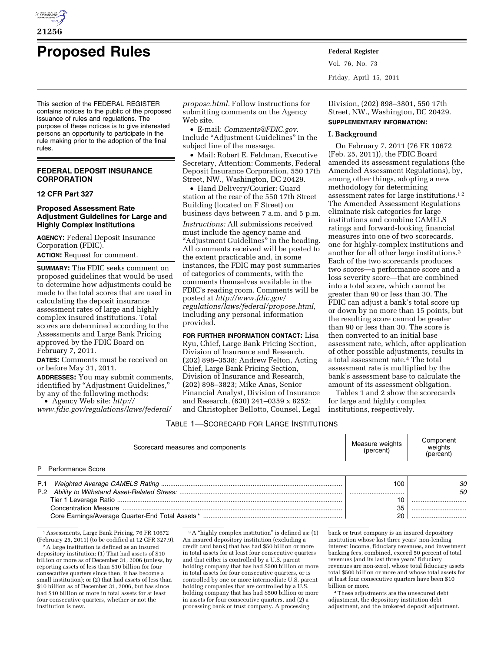

# **Proposed Rules Federal Register**

This section of the FEDERAL REGISTER contains notices to the public of the proposed issuance of rules and regulations. The purpose of these notices is to give interested persons an opportunity to participate in the rule making prior to the adoption of the final rules.

# **FEDERAL DEPOSIT INSURANCE CORPORATION**

## **12 CFR Part 327**

## **Proposed Assessment Rate Adjustment Guidelines for Large and Highly Complex Institutions**

**AGENCY:** Federal Deposit Insurance Corporation (FDIC).

**ACTION:** Request for comment.

**SUMMARY:** The FDIC seeks comment on proposed guidelines that would be used to determine how adjustments could be made to the total scores that are used in calculating the deposit insurance assessment rates of large and highly complex insured institutions. Total scores are determined according to the Assessments and Large Bank Pricing approved by the FDIC Board on February 7, 2011.

**DATES:** Comments must be received on or before May 31, 2011.

**ADDRESSES:** You may submit comments, identified by ''Adjustment Guidelines,'' by any of the following methods:

• Agency Web site: *[http://](http://www.fdic.gov/regulations/laws/federal/propose.html)  [www.fdic.gov/regulations/laws/federal/](http://www.fdic.gov/regulations/laws/federal/propose.html)* 

*[propose.html.](http://www.fdic.gov/regulations/laws/federal/propose.html)* Follow instructions for submitting comments on the Agency Web site.

• E-mail: *[Comments@FDIC.gov.](mailto:Comments@FDIC.gov)*  Include ''Adjustment Guidelines'' in the subject line of the message.

• Mail: Robert E. Feldman, Executive Secretary, Attention: Comments, Federal Deposit Insurance Corporation, 550 17th Street, NW., Washington, DC 20429.

• Hand Delivery/Courier: Guard station at the rear of the 550 17th Street Building (located on F Street) on business days between 7 a.m. and 5 p.m.

*Instructions:* All submissions received must include the agency name and "Adjustment Guidelines" in the heading. All comments received will be posted to the extent practicable and, in some instances, the FDIC may post summaries of categories of comments, with the comments themselves available in the FDIC's reading room. Comments will be posted at *[http://www.fdic.gov/](http://www.fdic.gov/regulations/laws/federal/propose.html) [regulations/laws/federal/propose.html,](http://www.fdic.gov/regulations/laws/federal/propose.html)*  including any personal information provided.

**FOR FURTHER INFORMATION CONTACT:** Lisa Ryu, Chief, Large Bank Pricing Section, Division of Insurance and Research, (202) 898–3538; Andrew Felton, Acting Chief, Large Bank Pricing Section, Division of Insurance and Research, (202) 898–3823; Mike Anas, Senior Financial Analyst, Division of Insurance and Research, (630) 241–0359 x 8252; and Christopher Bellotto, Counsel, Legal Vol. 76, No. 73 Friday, April 15, 2011

Division, (202) 898–3801, 550 17th Street, NW., Washington, DC 20429.

# **SUPPLEMENTARY INFORMATION:**

#### **I. Background**

On February 7, 2011 (76 FR 10672 (Feb. 25, 2011)), the FDIC Board amended its assessment regulations (the Amended Assessment Regulations), by, among other things, adopting a new methodology for determining assessment rates for large institutions.1 2 The Amended Assessment Regulations eliminate risk categories for large institutions and combine CAMELS ratings and forward-looking financial measures into one of two scorecards, one for highly-complex institutions and another for all other large institutions.3 Each of the two scorecards produces two scores—a performance score and a loss severity score—that are combined into a total score, which cannot be greater than 90 or less than 30. The FDIC can adjust a bank's total score up or down by no more than 15 points, but the resulting score cannot be greater than 90 or less than 30. The score is then converted to an initial base assessment rate, which, after application of other possible adjustments, results in a total assessment rate.4 The total assessment rate is multiplied by the bank's assessment base to calculate the amount of its assessment obligation.

Tables 1 and 2 show the scorecards for large and highly complex institutions, respectively.

#### TABLE 1—SCORECARD FOR LARGE INSTITUTIONS

| Scorecard measures and components | Measure weights<br>(percent) | Component<br>weights<br>(percent) |
|-----------------------------------|------------------------------|-----------------------------------|
| P Performance Score               |                              |                                   |
|                                   | 100                          | 30                                |
|                                   |                              | 50                                |
|                                   |                              |                                   |
|                                   | 35                           |                                   |
|                                   |                              |                                   |

 $\overline{1}\overline{A}$ ssessments, Large Bank Pricing, 76 FR 10672 (February 25, 2011) (to be codified at 12 CFR 327.9).

2A large institution is defined as an insured depository institution: (1) That had assets of \$10 billion or more as of December 31, 2006 (unless, by reporting assets of less than \$10 billion for four consecutive quarters since then, it has become a small institution); or (2) that had assets of less than \$10 billion as of December 31, 2006, but has since had \$10 billion or more in total assets for at least four consecutive quarters, whether or not the institution is new.

 $^3\rm\,A$  "highly complex institution" is defined as: (1) An insured depository institution (excluding a credit card bank) that has had \$50 billion or more in total assets for at least four consecutive quarters and that either is controlled by a U.S. parent holding company that has had \$500 billion or more in total assets for four consecutive quarters, or is controlled by one or more intermediate U.S. parent holding companies that are controlled by a U.S. holding company that has had \$500 billion or more in assets for four consecutive quarters, and (2) a processing bank or trust company. A processing

bank or trust company is an insured depository institution whose last three years' non-lending interest income, fiduciary revenues, and investment banking fees, combined, exceed 50 percent of total revenues (and its last three years' fiduciary revenues are non-zero), whose total fiduciary assets total \$500 billion or more and whose total assets for at least four consecutive quarters have been \$10 billion or more.

4These adjustments are the unsecured debt adjustment, the depository institution debt adjustment, and the brokered deposit adjustment.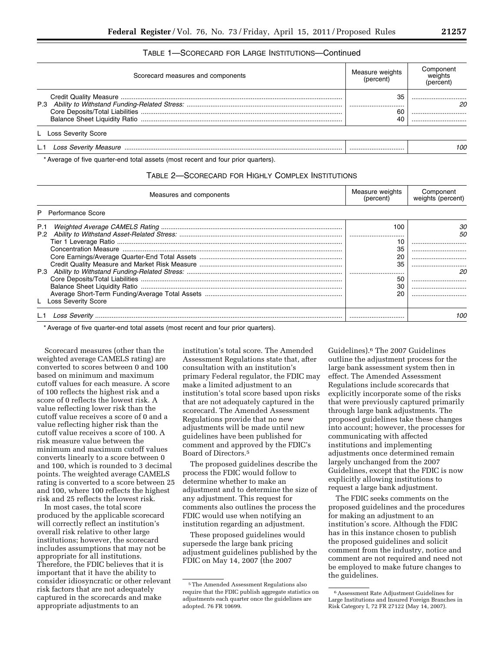# TABLE 1—SCORECARD FOR LARGE INSTITUTIONS—Continued

| Scorecard measures and components | Measure weights<br>(percent) | Component<br>weights<br>percent |
|-----------------------------------|------------------------------|---------------------------------|
|                                   | 35<br>60                     | <br>                            |
| L Loss Severity Score             |                              |                                 |
|                                   |                              | 100                             |

\* Average of five quarter-end total assets (most recent and four prior quarters).

## TABLE 2—SCORECARD FOR HIGHLY COMPLEX INSTITUTIONS

| Measures and components      | Measure weights<br>(percent)     | Component<br>weights (percent) |  |
|------------------------------|----------------------------------|--------------------------------|--|
| Performance Score            |                                  |                                |  |
| P.1<br>L Loss Severity Score | 100<br>35<br>35<br>l<br>5С<br>30 | <br><br><br><br>               |  |
|                              |                                  | 10C                            |  |

\* Average of five quarter-end total assets (most recent and four prior quarters).

Scorecard measures (other than the weighted average CAMELS rating) are converted to scores between 0 and 100 based on minimum and maximum cutoff values for each measure. A score of 100 reflects the highest risk and a score of 0 reflects the lowest risk. A value reflecting lower risk than the cutoff value receives a score of 0 and a value reflecting higher risk than the cutoff value receives a score of 100. A risk measure value between the minimum and maximum cutoff values converts linearly to a score between 0 and 100, which is rounded to 3 decimal points. The weighted average CAMELS rating is converted to a score between 25 and 100, where 100 reflects the highest risk and 25 reflects the lowest risk.

In most cases, the total score produced by the applicable scorecard will correctly reflect an institution's overall risk relative to other large institutions; however, the scorecard includes assumptions that may not be appropriate for all institutions. Therefore, the FDIC believes that it is important that it have the ability to consider idiosyncratic or other relevant risk factors that are not adequately captured in the scorecards and make appropriate adjustments to an

institution's total score. The Amended Assessment Regulations state that, after consultation with an institution's primary Federal regulator, the FDIC may make a limited adjustment to an institution's total score based upon risks that are not adequately captured in the scorecard. The Amended Assessment Regulations provide that no new adjustments will be made until new guidelines have been published for comment and approved by the FDIC's Board of Directors.5

The proposed guidelines describe the process the FDIC would follow to determine whether to make an adjustment and to determine the size of any adjustment. This request for comments also outlines the process the FDIC would use when notifying an institution regarding an adjustment.

These proposed guidelines would supersede the large bank pricing adjustment guidelines published by the FDIC on May 14, 2007 (the 2007

Guidelines).6 The 2007 Guidelines outline the adjustment process for the large bank assessment system then in effect. The Amended Assessment Regulations include scorecards that explicitly incorporate some of the risks that were previously captured primarily through large bank adjustments. The proposed guidelines take these changes into account; however, the processes for communicating with affected institutions and implementing adjustments once determined remain largely unchanged from the 2007 Guidelines, except that the FDIC is now explicitly allowing institutions to request a large bank adjustment.

The FDIC seeks comments on the proposed guidelines and the procedures for making an adjustment to an institution's score. Although the FDIC has in this instance chosen to publish the proposed guidelines and solicit comment from the industry, notice and comment are not required and need not be employed to make future changes to the guidelines.

<sup>5</sup>The Amended Assessment Regulations also require that the FDIC publish aggregate statistics on adjustments each quarter once the guidelines are adopted. 76 FR 10699.

<sup>6</sup>Assessment Rate Adjustment Guidelines for Large Institutions and Insured Foreign Branches in Risk Category I, 72 FR 27122 (May 14, 2007).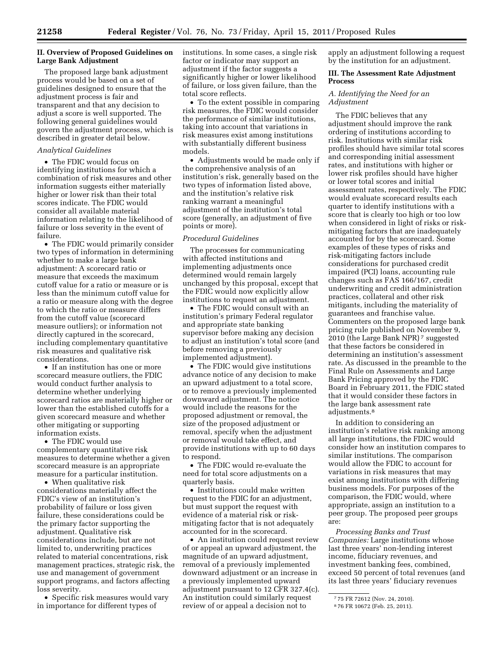## **II. Overview of Proposed Guidelines on Large Bank Adjustment**

The proposed large bank adjustment process would be based on a set of guidelines designed to ensure that the adjustment process is fair and transparent and that any decision to adjust a score is well supported. The following general guidelines would govern the adjustment process, which is described in greater detail below.

#### *Analytical Guidelines*

• The FDIC would focus on identifying institutions for which a combination of risk measures and other information suggests either materially higher or lower risk than their total scores indicate. The FDIC would consider all available material information relating to the likelihood of failure or loss severity in the event of failure.

• The FDIC would primarily consider two types of information in determining whether to make a large bank adjustment: A scorecard ratio or measure that exceeds the maximum cutoff value for a ratio or measure or is less than the minimum cutoff value for a ratio or measure along with the degree to which the ratio or measure differs from the cutoff value (scorecard measure outliers); or information not directly captured in the scorecard, including complementary quantitative risk measures and qualitative risk considerations.

• If an institution has one or more scorecard measure outliers, the FDIC would conduct further analysis to determine whether underlying scorecard ratios are materially higher or lower than the established cutoffs for a given scorecard measure and whether other mitigating or supporting information exists.

• The FDIC would use complementary quantitative risk measures to determine whether a given scorecard measure is an appropriate measure for a particular institution.

• When qualitative risk considerations materially affect the FDIC's view of an institution's probability of failure or loss given failure, these considerations could be the primary factor supporting the adjustment. Qualitative risk considerations include, but are not limited to, underwriting practices related to material concentrations, risk management practices, strategic risk, the use and management of government support programs, and factors affecting loss severity.

• Specific risk measures would vary in importance for different types of

institutions. In some cases, a single risk factor or indicator may support an adjustment if the factor suggests a significantly higher or lower likelihood of failure, or loss given failure, than the total score reflects.

• To the extent possible in comparing risk measures, the FDIC would consider the performance of similar institutions, taking into account that variations in risk measures exist among institutions with substantially different business models.

• Adjustments would be made only if the comprehensive analysis of an institution's risk, generally based on the two types of information listed above, and the institution's relative risk ranking warrant a meaningful adjustment of the institution's total score (generally, an adjustment of five points or more).

#### *Procedural Guidelines*

The processes for communicating with affected institutions and implementing adjustments once determined would remain largely unchanged by this proposal, except that the FDIC would now explicitly allow institutions to request an adjustment.

• The FDIC would consult with an institution's primary Federal regulator and appropriate state banking supervisor before making any decision to adjust an institution's total score (and before removing a previously implemented adjustment).

• The FDIC would give institutions advance notice of any decision to make an upward adjustment to a total score, or to remove a previously implemented downward adjustment. The notice would include the reasons for the proposed adjustment or removal, the size of the proposed adjustment or removal, specify when the adjustment or removal would take effect, and provide institutions with up to 60 days to respond.

• The FDIC would re-evaluate the need for total score adjustments on a quarterly basis.

• Institutions could make written request to the FDIC for an adjustment, but must support the request with evidence of a material risk or riskmitigating factor that is not adequately accounted for in the scorecard.

• An institution could request review of or appeal an upward adjustment, the magnitude of an upward adjustment, removal of a previously implemented downward adjustment or an increase in a previously implemented upward adjustment pursuant to 12 CFR 327.4(c). An institution could similarly request review of or appeal a decision not to

apply an adjustment following a request by the institution for an adjustment.

## **III. The Assessment Rate Adjustment Process**

## *A. Identifying the Need for an Adjustment*

The FDIC believes that any adjustment should improve the rank ordering of institutions according to risk. Institutions with similar risk profiles should have similar total scores and corresponding initial assessment rates, and institutions with higher or lower risk profiles should have higher or lower total scores and initial assessment rates, respectively. The FDIC would evaluate scorecard results each quarter to identify institutions with a score that is clearly too high or too low when considered in light of risks or riskmitigating factors that are inadequately accounted for by the scorecard. Some examples of these types of risks and risk-mitigating factors include considerations for purchased credit impaired (PCI) loans, accounting rule changes such as FAS 166/167, credit underwriting and credit administration practices, collateral and other risk mitigants, including the materiality of guarantees and franchise value. Commenters on the proposed large bank pricing rule published on November 9, 2010 (the Large Bank NPR) 7 suggested that these factors be considered in determining an institution's assessment rate. As discussed in the preamble to the Final Rule on Assessments and Large Bank Pricing approved by the FDIC Board in February 2011, the FDIC stated that it would consider these factors in the large bank assessment rate adjustments.8

In addition to considering an institution's relative risk ranking among all large institutions, the FDIC would consider how an institution compares to similar institutions. The comparison would allow the FDIC to account for variations in risk measures that may exist among institutions with differing business models. For purposes of the comparison, the FDIC would, where appropriate, assign an institution to a peer group. The proposed peer groups are:

*Processing Banks and Trust Companies:* Large institutions whose last three years' non-lending interest income, fiduciary revenues, and investment banking fees, combined, exceed 50 percent of total revenues (and its last three years' fiduciary revenues

<sup>7</sup> 75 FR 72612 (Nov. 24, 2010).

<sup>8</sup> 76 FR 10672 (Feb. 25, 2011).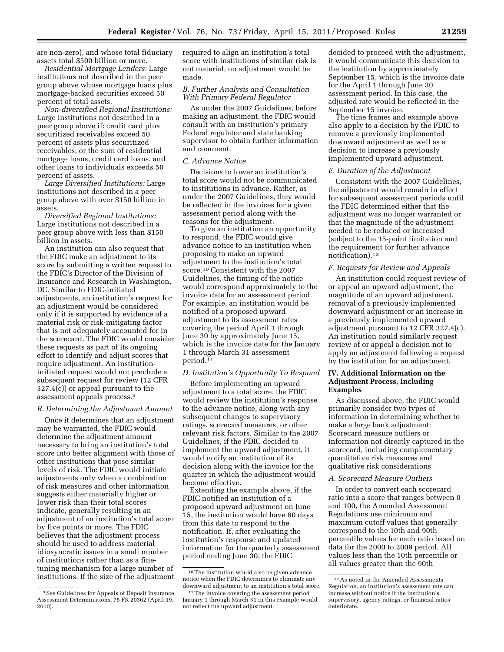are non-zero), and whose total fiduciary assets total \$500 billion or more.

*Residential Mortgage Lenders:* Large institutions not described in the peer group above whose mortgage loans plus mortgage-backed securities exceed 50 percent of total assets.

*Non-diversified Regional Institutions:*  Large institutions not described in a peer group above if: credit card plus securitized receivables exceed 50 percent of assets plus securitized receivables; or the sum of residential mortgage loans, credit card loans, and other loans to individuals exceeds 50 percent of assets.

*Large Diversified Institutions:* Large institutions not described in a peer group above with over \$150 billion in assets.

*Diversified Regional Institutions:*  Large institutions not described in a peer group above with less than \$150 billion in assets.

An institution can also request that the FDIC make an adjustment to its score by submitting a written request to the FDIC's Director of the Division of Insurance and Research in Washington, DC. Similar to FDIC-initiated adjustments, an institution's request for an adjustment would be considered only if it is supported by evidence of a material risk or risk-mitigating factor that is not adequately accounted for in the scorecard. The FDIC would consider these requests as part of its ongoing effort to identify and adjust scores that require adjustment. An institutioninitiated request would not preclude a subsequent request for review (12 CFR 327.4(c)) or appeal pursuant to the assessment appeals process.9

#### *B. Determining the Adjustment Amount*

Once it determines that an adjustment may be warranted, the FDIC would determine the adjustment amount necessary to bring an institution's total score into better alignment with those of other institutions that pose similar levels of risk. The FDIC would initiate adjustments only when a combination of risk measures and other information suggests either materially higher or lower risk than their total scores indicate, generally resulting in an adjustment of an institution's total score by five points or more. The FDIC believes that the adjustment process should be used to address material idiosyncratic issues in a small number of institutions rather than as a finetuning mechanism for a large number of institutions. If the size of the adjustment required to align an institution's total score with institutions of similar risk is not material, no adjustment would be made.

# *B. Further Analysis and Consultation With Primary Federal Regulator*

As under the 2007 Guidelines, before making an adjustment, the FDIC would consult with an institution's primary Federal regulator and state banking supervisor to obtain further information and comment.

## *C. Advance Notice*

Decisions to lower an institution's total score would not be communicated to institutions in advance. Rather, as under the 2007 Guidelines, they would be reflected in the invoices for a given assessment period along with the reasons for the adjustment.

To give an institution an opportunity to respond, the FDIC would give advance notice to an institution when proposing to make an upward adjustment to the institution's total score.10 Consistent with the 2007 Guidelines, the timing of the notice would correspond approximately to the invoice date for an assessment period. For example, an institution would be notified of a proposed upward adjustment to its assessment rates covering the period April 1 through June 30 by approximately June 15, which is the invoice date for the January 1 through March 31 assessment period.11

#### *D. Institution's Opportunity To Respond*

Before implementing an upward adjustment to a total score, the FDIC would review the institution's response to the advance notice, along with any subsequent changes to supervisory ratings, scorecard measures, or other relevant risk factors. Similar to the 2007 Guidelines, if the FDIC decided to implement the upward adjustment, it would notify an institution of its decision along with the invoice for the quarter in which the adjustment would become effective.

Extending the example above, if the FDIC notified an institution of a proposed upward adjustment on June 15, the institution would have 60 days from this date to respond to the notification. If, after evaluating the institution's response and updated information for the quarterly assessment period ending June 30, the FDIC

decided to proceed with the adjustment, it would communicate this decision to the institution by approximately September 15, which is the invoice date for the April 1 through June 30 assessment period. In this case, the adjusted rate would be reflected in the September 15 invoice.

The time frames and example above also apply to a decision by the FDIC to remove a previously implemented downward adjustment as well as a decision to increase a previously implemented upward adjustment.

#### *E. Duration of the Adjustment*

Consistent with the 2007 Guidelines, the adjustment would remain in effect for subsequent assessment periods until the FDIC determined either that the adjustment was no longer warranted or that the magnitude of the adjustment needed to be reduced or increased (subject to the 15-point limitation and the requirement for further advance notification).12

#### *F. Requests for Review and Appeals*

An institution could request review of or appeal an upward adjustment, the magnitude of an upward adjustment, removal of a previously implemented downward adjustment or an increase in a previously implemented upward adjustment pursuant to 12 CFR 327.4(c). An institution could similarly request review of or appeal a decision not to apply an adjustment following a request by the institution for an adjustment.

#### **IV. Additional Information on the Adjustment Process, Including Examples**

As discussed above, the FDIC would primarily consider two types of information in determining whether to make a large bank adjustment: Scorecard measure outliers or information not directly captured in the scorecard, including complementary quantitative risk measures and qualitative risk considerations.

#### *A. Scorecard Measure Outliers*

In order to convert each scorecard ratio into a score that ranges between 0 and 100, the Amended Assessment Regulations use minimum and maximum cutoff values that generally correspond to the 10th and 90th percentile values for each ratio based on data for the 2000 to 2009 period. All values less than the 10th percentile or all values greater than the 90th

<sup>9</sup>See Guidelines for Appeals of Deposit Insurance Assessment Determinations, 75 FR 20362 (April 19, 2010).

 $^{\rm 10}\!$  The institution would also be given advance notice when the FDIC determines to eliminate any downward adjustment to an institution's total score.

<sup>&</sup>lt;sup>11</sup>The invoice covering the assessment period January 1 through March 31 in this example would not reflect the upward adjustment.

<sup>12</sup>As noted in the Amended Assessments Regulation, an institution's assessment rate can increase without notice if the institution's supervisory, agency ratings, or financial ratios deteriorate.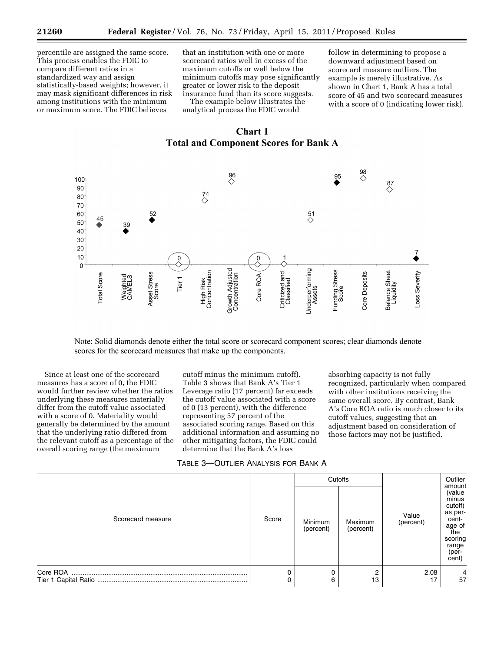percentile are assigned the same score. This process enables the FDIC to compare different ratios in a standardized way and assign statistically-based weights; however, it may mask significant differences in risk among institutions with the minimum or maximum score. The FDIC believes

that an institution with one or more scorecard ratios well in excess of the maximum cutoffs or well below the minimum cutoffs may pose significantly greater or lower risk to the deposit insurance fund than its score suggests.

The example below illustrates the analytical process the FDIC would

follow in determining to propose a downward adjustment based on scorecard measure outliers. The example is merely illustrative. As shown in Chart 1, Bank A has a total score of 45 and two scorecard measures with a score of 0 (indicating lower risk).





Note: Solid diamonds denote either the total score or scorecard component scores; clear diamonds denote scores for the scorecard measures that make up the components.

Since at least one of the scorecard measures has a score of 0, the FDIC would further review whether the ratios underlying these measures materially differ from the cutoff value associated with a score of 0. Materiality would generally be determined by the amount that the underlying ratio differed from the relevant cutoff as a percentage of the overall scoring range (the maximum

cutoff minus the minimum cutoff). Table 3 shows that Bank A's Tier 1 Leverage ratio (17 percent) far exceeds the cutoff value associated with a score of 0 (13 percent), with the difference representing 57 percent of the associated scoring range. Based on this additional information and assuming no other mitigating factors, the FDIC could determine that the Bank A's loss

absorbing capacity is not fully recognized, particularly when compared with other institutions receiving the same overall score. By contrast, Bank A's Core ROA ratio is much closer to its cutoff values, suggesting that an adjustment based on consideration of those factors may not be justified.

| Table 3—Outlier Analysis for Bank A |  |
|-------------------------------------|--|
|-------------------------------------|--|

| Scorecard measure |       | Cutoffs              |                      |                    | Outlier<br>amount                                                                                     |
|-------------------|-------|----------------------|----------------------|--------------------|-------------------------------------------------------------------------------------------------------|
|                   | Score | Minimum<br>(percent) | Maximum<br>(percent) | Value<br>(percent) | (value<br>minus<br>cutoff)<br>as per-<br>cent-<br>age of<br>the<br>scoring<br>range<br>(per-<br>cent) |
|                   | 0     |                      | 2                    | 2.08               |                                                                                                       |
|                   | 0     | 6                    | 13                   | 17                 | 57                                                                                                    |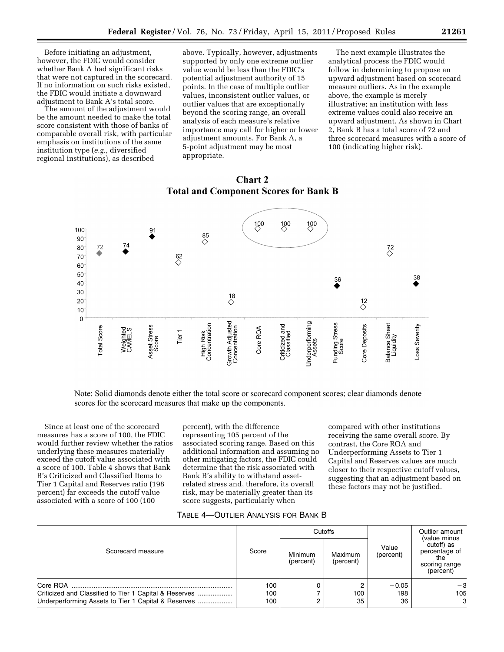Before initiating an adjustment, however, the FDIC would consider whether Bank A had significant risks that were not captured in the scorecard. If no information on such risks existed, the FDIC would initiate a downward adjustment to Bank A's total score.

The amount of the adjustment would be the amount needed to make the total score consistent with those of banks of comparable overall risk, with particular emphasis on institutions of the same institution type (*e.g.,* diversified regional institutions), as described

above. Typically, however, adjustments supported by only one extreme outlier value would be less than the FDIC's potential adjustment authority of 15 points. In the case of multiple outlier values, inconsistent outlier values, or outlier values that are exceptionally beyond the scoring range, an overall analysis of each measure's relative importance may call for higher or lower adjustment amounts. For Bank A, a 5-point adjustment may be most appropriate.

The next example illustrates the analytical process the FDIC would follow in determining to propose an upward adjustment based on scorecard measure outliers. As in the example above, the example is merely illustrative; an institution with less extreme values could also receive an upward adjustment. As shown in Chart 2, Bank B has a total score of 72 and three scorecard measures with a score of 100 (indicating higher risk).



# **Chart 2 Total and Component Scores for Bank B**

Note: Solid diamonds denote either the total score or scorecard component scores; clear diamonds denote scores for the scorecard measures that make up the components.

Since at least one of the scorecard measures has a score of 100, the FDIC would further review whether the ratios underlying these measures materially exceed the cutoff value associated with a score of 100. Table 4 shows that Bank B's Criticized and Classified Items to Tier 1 Capital and Reserves ratio (198 percent) far exceeds the cutoff value associated with a score of 100 (100

percent), with the difference representing 105 percent of the associated scoring range. Based on this additional information and assuming no other mitigating factors, the FDIC could determine that the risk associated with Bank B's ability to withstand assetrelated stress and, therefore, its overall risk, may be materially greater than its score suggests, particularly when

compared with other institutions receiving the same overall score. By contrast, the Core ROA and Underperforming Assets to Tier 1 Capital and Reserves values are much closer to their respective cutoff values, suggesting that an adjustment based on these factors may not be justified.

|                                                                                                                           | Score             | Cutoffs              |                      |                      | Outlier amount<br>(value minus                                   |  |
|---------------------------------------------------------------------------------------------------------------------------|-------------------|----------------------|----------------------|----------------------|------------------------------------------------------------------|--|
| Scorecard measure                                                                                                         |                   | Minimum<br>(percent) | Maximum<br>(percent) | Value<br>(percent)   | cutoff) as<br>percentage of<br>the<br>scoring range<br>(percent) |  |
| Core ROA<br>Criticized and Classified to Tier 1 Capital & Reserves<br>Underperforming Assets to Tier 1 Capital & Reserves | 100<br>100<br>100 |                      | 2<br>100<br>35       | $-0.05$<br>198<br>36 | $-3$<br>105<br>3                                                 |  |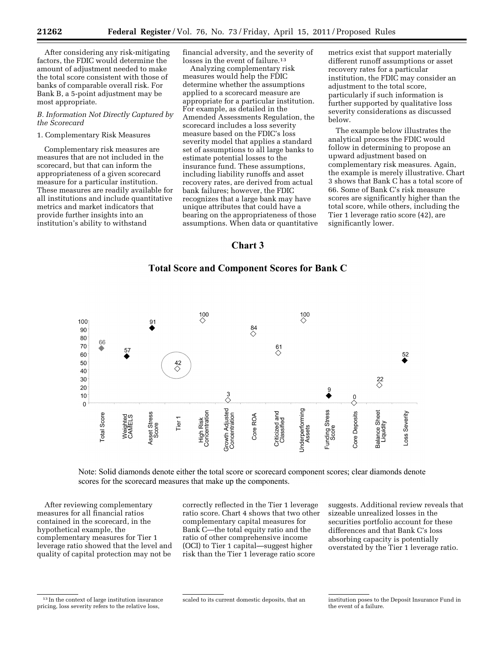After considering any risk-mitigating factors, the FDIC would determine the amount of adjustment needed to make the total score consistent with those of banks of comparable overall risk. For Bank B, a 5-point adjustment may be most appropriate.

# *B. Information Not Directly Captured by the Scorecard*

# 1. Complementary Risk Measures

Complementary risk measures are measures that are not included in the scorecard, but that can inform the appropriateness of a given scorecard measure for a particular institution. These measures are readily available for all institutions and include quantitative metrics and market indicators that provide further insights into an institution's ability to withstand

financial adversity, and the severity of losses in the event of failure.<sup>13</sup>

Analyzing complementary risk measures would help the FDIC determine whether the assumptions applied to a scorecard measure are appropriate for a particular institution. For example, as detailed in the Amended Assessments Regulation, the scorecard includes a loss severity measure based on the FDIC's loss severity model that applies a standard set of assumptions to all large banks to estimate potential losses to the insurance fund. These assumptions, including liability runoffs and asset recovery rates, are derived from actual bank failures; however, the FDIC recognizes that a large bank may have unique attributes that could have a bearing on the appropriateness of those assumptions. When data or quantitative

metrics exist that support materially different runoff assumptions or asset recovery rates for a particular institution, the FDIC may consider an adjustment to the total score, particularly if such information is further supported by qualitative loss severity considerations as discussed below.

The example below illustrates the analytical process the FDIC would follow in determining to propose an upward adjustment based on complementary risk measures. Again, the example is merely illustrative. Chart 3 shows that Bank C has a total score of 66. Some of Bank C's risk measure scores are significantly higher than the total score, while others, including the Tier 1 leverage ratio score (42), are significantly lower.

# Chart 3

# **Total Score and Component Scores for Bank C**



Note: Solid diamonds denote either the total score or scorecard component scores; clear diamonds denote scores for the scorecard measures that make up the components.

After reviewing complementary measures for all financial ratios contained in the scorecard, in the hypothetical example, the complementary measures for Tier 1 leverage ratio showed that the level and quality of capital protection may not be

correctly reflected in the Tier 1 leverage ratio score. Chart 4 shows that two other complementary capital measures for Bank C—the total equity ratio and the ratio of other comprehensive income (OCI) to Tier 1 capital—suggest higher risk than the Tier 1 leverage ratio score

suggests. Additional review reveals that sizeable unrealized losses in the securities portfolio account for these differences and that Bank C's loss absorbing capacity is potentially overstated by the Tier 1 leverage ratio.

<sup>13</sup> In the context of large institution insurance pricing, loss severity refers to the relative loss,

scaled to its current domestic deposits, that an institution poses to the Deposit Insurance Fund in the event of a failure.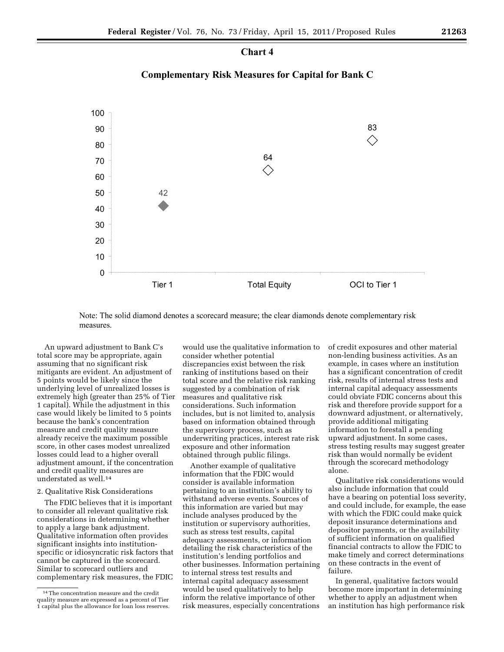# **Chart 4**

# **Complementary Risk Measures for Capital for Bank C**



Note: The solid diamond denotes a scorecard measure; the clear diamonds denote complementary risk measures.

An upward adjustment to Bank C's total score may be appropriate, again assuming that no significant risk mitigants are evident. An adjustment of 5 points would be likely since the underlying level of unrealized losses is extremely high (greater than 25% of Tier 1 capital). While the adjustment in this case would likely be limited to 5 points because the bank's concentration measure and credit quality measure already receive the maximum possible score, in other cases modest unrealized losses could lead to a higher overall adjustment amount, if the concentration and credit quality measures are understated as well.14

#### 2. Qualitative Risk Considerations

The FDIC believes that it is important to consider all relevant qualitative risk considerations in determining whether to apply a large bank adjustment. Qualitative information often provides significant insights into institutionspecific or idiosyncratic risk factors that cannot be captured in the scorecard. Similar to scorecard outliers and complementary risk measures, the FDIC

would use the qualitative information to consider whether potential discrepancies exist between the risk ranking of institutions based on their total score and the relative risk ranking suggested by a combination of risk measures and qualitative risk considerations. Such information includes, but is not limited to, analysis based on information obtained through the supervisory process, such as underwriting practices, interest rate risk exposure and other information obtained through public filings.

Another example of qualitative information that the FDIC would consider is available information pertaining to an institution's ability to withstand adverse events. Sources of this information are varied but may include analyses produced by the institution or supervisory authorities, such as stress test results, capital adequacy assessments, or information detailing the risk characteristics of the institution's lending portfolios and other businesses. Information pertaining to internal stress test results and internal capital adequacy assessment would be used qualitatively to help inform the relative importance of other risk measures, especially concentrations

of credit exposures and other material non-lending business activities. As an example, in cases where an institution has a significant concentration of credit risk, results of internal stress tests and internal capital adequacy assessments could obviate FDIC concerns about this risk and therefore provide support for a downward adjustment, or alternatively, provide additional mitigating information to forestall a pending upward adjustment. In some cases, stress testing results may suggest greater risk than would normally be evident through the scorecard methodology alone.

Qualitative risk considerations would also include information that could have a bearing on potential loss severity, and could include, for example, the ease with which the FDIC could make quick deposit insurance determinations and depositor payments, or the availability of sufficient information on qualified financial contracts to allow the FDIC to make timely and correct determinations on these contracts in the event of failure.

In general, qualitative factors would become more important in determining whether to apply an adjustment when an institution has high performance risk

<sup>14</sup>The concentration measure and the credit quality measure are expressed as a percent of Tier 1 capital plus the allowance for loan loss reserves.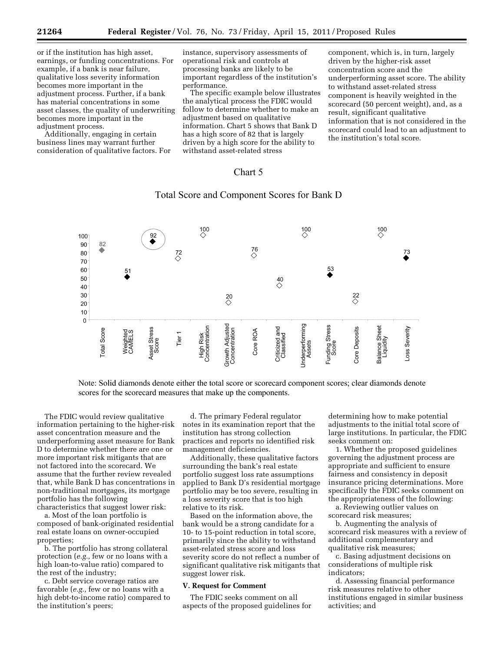or if the institution has high asset, earnings, or funding concentrations. For example, if a bank is near failure, qualitative loss severity information becomes more important in the adjustment process. Further, if a bank has material concentrations in some asset classes, the quality of underwriting becomes more important in the adjustment process.

Additionally, engaging in certain business lines may warrant further consideration of qualitative factors. For

instance, supervisory assessments of operational risk and controls at processing banks are likely to be important regardless of the institution's performance.

The specific example below illustrates the analytical process the FDIC would follow to determine whether to make an adjustment based on qualitative information. Chart 5 shows that Bank D has a high score of 82 that is largely driven by a high score for the ability to withstand asset-related stress

component, which is, in turn, largely driven by the higher-risk asset concentration score and the underperforming asset score. The ability to withstand asset-related stress component is heavily weighted in the scorecard (50 percent weight), and, as a result, significant qualitative information that is not considered in the scorecard could lead to an adjustment to the institution's total score.

# Chart 5

# Total Score and Component Scores for Bank D



Note: Solid diamonds denote either the total score or scorecard component scores; clear diamonds denote scores for the scorecard measures that make up the components.

The FDIC would review qualitative information pertaining to the higher-risk asset concentration measure and the underperforming asset measure for Bank D to determine whether there are one or more important risk mitigants that are not factored into the scorecard. We assume that the further review revealed that, while Bank D has concentrations in non-traditional mortgages, its mortgage portfolio has the following characteristics that suggest lower risk:

a. Most of the loan portfolio is composed of bank-originated residential real estate loans on owner-occupied properties;

b. The portfolio has strong collateral protection (*e.g.,* few or no loans with a high loan-to-value ratio) compared to the rest of the industry;

c. Debt service coverage ratios are favorable (*e.g.,* few or no loans with a high debt-to-income ratio) compared to the institution's peers;

d. The primary Federal regulator notes in its examination report that the institution has strong collection practices and reports no identified risk management deficiencies.

Additionally, these qualitative factors surrounding the bank's real estate portfolio suggest loss rate assumptions applied to Bank D's residential mortgage portfolio may be too severe, resulting in a loss severity score that is too high relative to its risk.

Based on the information above, the bank would be a strong candidate for a 10- to 15-point reduction in total score, primarily since the ability to withstand asset-related stress score and loss severity score do not reflect a number of significant qualitative risk mitigants that suggest lower risk.

#### **V. Request for Comment**

The FDIC seeks comment on all aspects of the proposed guidelines for

determining how to make potential adjustments to the initial total score of large institutions. In particular, the FDIC seeks comment on:

1. Whether the proposed guidelines governing the adjustment process are appropriate and sufficient to ensure fairness and consistency in deposit insurance pricing determinations. More specifically the FDIC seeks comment on the appropriateness of the following:

a. Reviewing outlier values on scorecard risk measures;

b. Augmenting the analysis of scorecard risk measures with a review of additional complementary and qualitative risk measures;

c. Basing adjustment decisions on considerations of multiple risk indicators;

d. Assessing financial performance risk measures relative to other institutions engaged in similar business activities; and